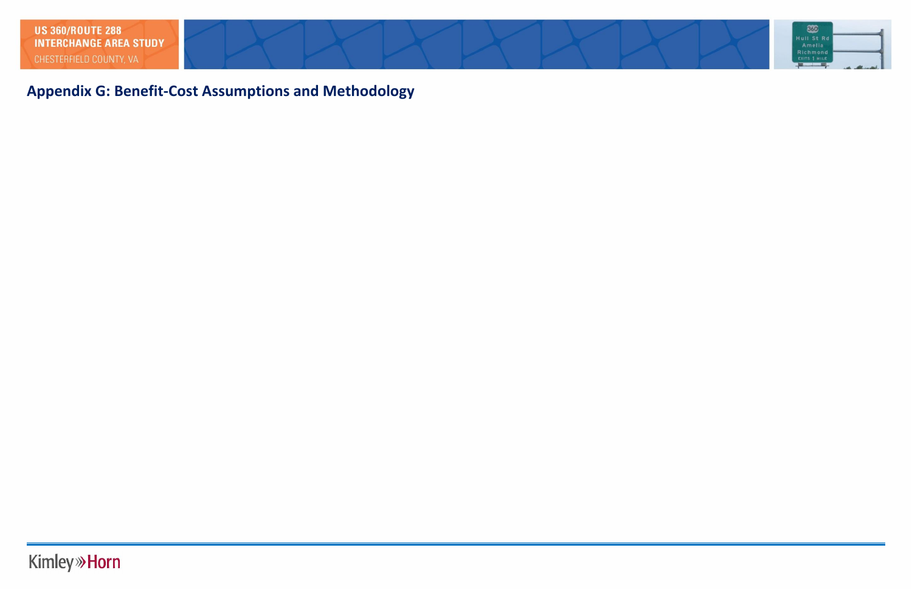# **Appendix G: Benefit-Cost Assumptions and Methodology**

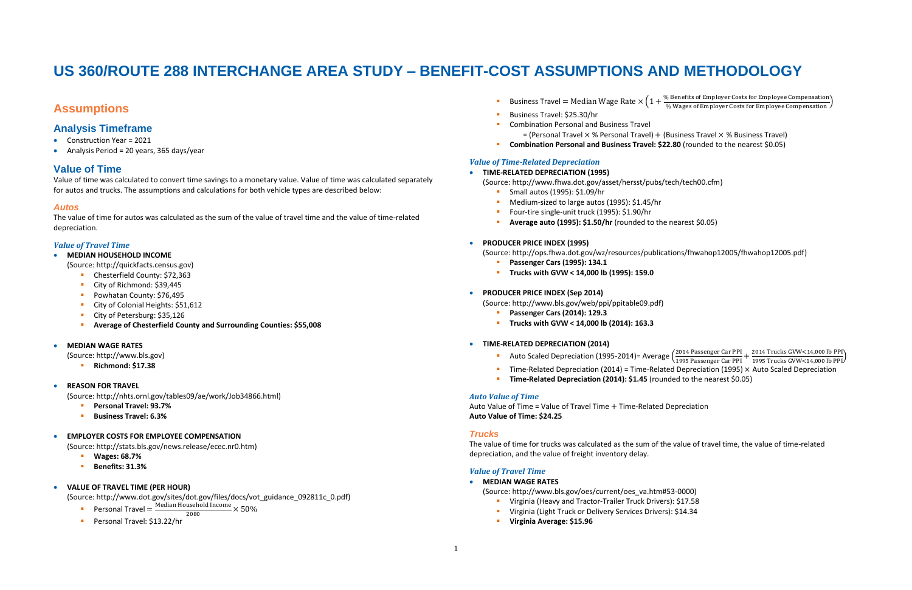## **US 360/ROUTE 288 INTERCHANGE AREA STUDY – BENEFIT-COST ASSUMPTIONS AND METHODOLOGY**

## **Assumptions**

- Construction Year = 2021
- Analysis Period = 20 years, 365 days/year

### **Analysis Timeframe**

### **Value of Time**

Value of time was calculated to convert time savings to a monetary value. Value of time was calculated separately for autos and trucks. The assumptions and calculations for both vehicle types are described below:

### *Autos*

The value of time for autos was calculated as the sum of the value of travel time and the value of time-related depreciation.

### *Value of Travel Time*

- Personal Travel =  $\frac{\text{Median Household Income}}{3000} \times 50\%$ 2080
- Personal Travel: \$13.22/hr
- Business Travel = Median Wage Rate  $\times$  (1+
- Business Travel: \$25.30/hr
- Combination Personal and Business Travel  $=$  (Personal Travel  $\times$  % Personal Travel) + (Business Travel  $\times$  % Business Travel)
- **Combination Personal and Business Travel: \$22.80** (rounded to the nearest \$0.05)

- **MEDIAN HOUSEHOLD INCOME**
	- (Source: http://quickfacts.census.gov)
		- Chesterfield County: \$72,363
		- City of Richmond: \$39,445
		- Powhatan County: \$76,495
		- City of Colonial Heights: \$51,612
		- City of Petersburg: \$35,126
		- **Average of Chesterfield County and Surrounding Counties: \$55,008**
- **MEDIAN WAGE RATES**
	- (Source: http://www.bls.gov)
		- **Richmond: \$17.38**
- **REASON FOR TRAVEL**

% Benefits of Employer Costs for Employee Compensation<br>() Wester of Employee Costs for Employee Componential) % Wages of Employer Costs for Employee Compensation

2014 Passenger Car PPI + 2014 Trucks GVW<14,000 lb PPI<br>1995 Passenger Car PPI + 1995 Trucks GVW<14,000 lb PPI 1995 Trucks GVW<14,000 lb PPI ) Time-Related Depreciation (2014) = Time-Related Depreciation (1995)  $\times$  Auto Scaled Depreciation

(Source: http://nhts.ornl.gov/tables09/ae/work/Job34866.html)

- **Personal Travel: 93.7%**
- **Business Travel: 6.3%**

### **EMPLOYER COSTS FOR EMPLOYEE COMPENSATION**

- **Passenger Cars (1995): 134.1**
- **Trucks with GVW < 14,000 lb (1995): 159.0**
- **PRODUCER PRICE INDEX (Sep 2014)**
	- (Source: http://www.bls.gov/web/ppi/ppitable09.pdf)
		- **Passenger Cars (2014): 129.3**
		- **Trucks with GVW < 14,000 lb (2014): 163.3**
- **TIME-RELATED DEPRECIATION (2014)**
	- Auto Scaled Depreciation (1995-2014) = Average  $\left(\frac{2014 \text{ Passenger Car PPI}}{1005 \text{ Pascenser Car PPI}}\right)$
	-
	- **Time-Related Depreciation (2014): \$1.45** (rounded to the nearest \$0.05)

(Source: http://stats.bls.gov/news.release/ecec.nr0.htm)

- **Wages: 68.7%**
- **Benefits: 31.3%**

### **VALUE OF TRAVEL TIME (PER HOUR)**

(Source: http://www.dot.gov/sites/dot.gov/files/docs/vot\_guidance\_092811c\_0.pdf)

### *Value of Time-Related Depreciation*

### **TIME-RELATED DEPRECIATION (1995)**

- (Source: http://www.fhwa.dot.gov/asset/hersst/pubs/tech/tech00.cfm) **Small autos (1995): \$1.09/hr** 
	- Medium-sized to large autos (1995): \$1.45/hr
	- Four-tire single-unit truck (1995): \$1.90/hr
	- **Average auto (1995): \$1.50/hr** (rounded to the nearest \$0.05)
- **PRODUCER PRICE INDEX (1995)**

(Source: http://ops.fhwa.dot.gov/wz/resources/publications/fhwahop12005/fhwahop12005.pdf)

### *Auto Value of Time*

Auto Value of Time = Value of Travel Time + Time-Related Depreciation **Auto Value of Time: \$24.25**

### *Trucks*

The value of time for trucks was calculated as the sum of the value of travel time, the value of time-related depreciation, and the value of freight inventory delay.

### *Value of Travel Time*

**MEDIAN WAGE RATES**

(Source: http://www.bls.gov/oes/current/oes\_va.htm#53-0000)

- Virginia (Heavy and Tractor-Trailer Truck Drivers): \$17.58
- Virginia (Light Truck or Delivery Services Drivers): \$14.34
- **Virginia Average: \$15.96**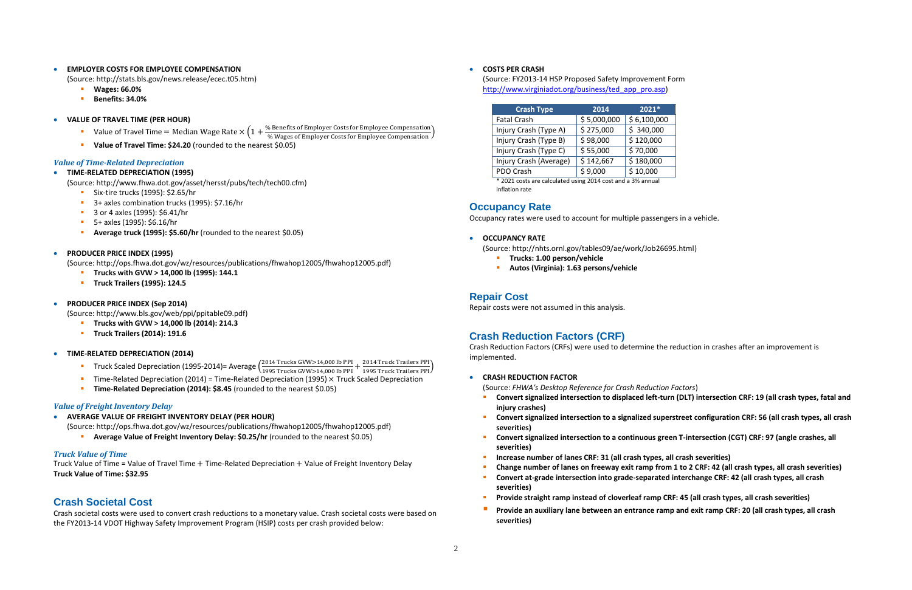#### **EMPLOYER COSTS FOR EMPLOYEE COMPENSATION**

- **Wages: 66.0%**
- **Benefits: 34.0%**
- **VALUE OF TRAVEL TIME (PER HOUR)** 
	- Value of Travel Time = Median Wage Rate  $\times$  (1 + % Benefits of Employer Costs for Employee Compensation % Wages of Employer Costs for Employee Compensation )
	- **Value of Travel Time: \$24.20** (rounded to the nearest \$0.05)

(Source: http://stats.bls.gov/news.release/ecec.t05.htm)

#### *Value of Time-Related Depreciation*

#### **TIME-RELATED DEPRECIATION (1995)**

(Source: http://www.fhwa.dot.gov/asset/hersst/pubs/tech/tech00.cfm)

- Six-tire trucks (1995): \$2.65/hr
- 3+ axles combination trucks (1995): \$7.16/hr
- 3 or 4 axles (1995): \$6.41/hr
- 5+ axles (1995): \$6.16/hr
- **Average truck (1995): \$5.60/hr** (rounded to the nearest \$0.05)

#### **PRODUCER PRICE INDEX (1995)**

(Source: http://ops.fhwa.dot.gov/wz/resources/publications/fhwahop12005/fhwahop12005.pdf)

- **Trucks with GVW > 14,000 lb (1995): 144.1**
- **Truck Trailers (1995): 124.5**
- **PRODUCER PRICE INDEX (Sep 2014)**

(Source: http://www.bls.gov/web/ppi/ppitable09.pdf)

- **Trucks with GVW > 14,000 lb (2014): 214.3**
- **Truck Trailers (2014): 191.6**
- **TIME-RELATED DEPRECIATION (2014)**
	- **Truck Scaled Depreciation (1995-2014)** = Average  $\left(\frac{2014 \text{ Trucks GW} > 14,000 \text{ lb PPI}}{4.005 \text{ Trwals}}\right)$ 2014 Trucks GVW>14,000 lb PPI + 2014 Truck Trailers PPI)<br>1995 Trucks GVW>14,000 lb PPI + 1995 Truck Trailers PPI)
	- Time-Related Depreciation (2014) = Time-Related Depreciation (1995) × Truck Scaled Depreciation
	- **Time-Related Depreciation (2014): \$8.45** (rounded to the nearest \$0.05)
- **Trucks: 1.00 person/vehicle**
- **Autos (Virginia): 1.63 persons/vehicle**

#### *Value of Freight Inventory Delay*

- **AVERAGE VALUE OF FREIGHT INVENTORY DELAY (PER HOUR)**
	- (Source: http://ops.fhwa.dot.gov/wz/resources/publications/fhwahop12005/fhwahop12005.pdf)
		- **Average Value of Freight Inventory Delay: \$0.25/hr** (rounded to the nearest \$0.05)

#### *Truck Value of Time*

Truck Value of Time = Value of Travel Time + Time-Related Depreciation + Value of Freight Inventory Delay **Truck Value of Time: \$32.95**

### **Crash Societal Cost**

Crash societal costs were used to convert crash reductions to a monetary value. Crash societal costs were based on the FY2013-14 VDOT Highway Safety Improvement Program (HSIP) costs per crash provided below:

### **COSTS PER CRASH**

(Source: FY2013-14 HSP Proposed Safety Improvement Form [http://www.virginiadot.org/business/ted\\_app\\_pro.asp\)](http://www.virginiadot.org/business/ted_app_pro.asp)

| <b>Crash Type</b>      | 2014        | $2021*$     |
|------------------------|-------------|-------------|
| <b>Fatal Crash</b>     | \$5,000,000 | \$6,100,000 |
| Injury Crash (Type A)  | \$275,000   | \$340,000   |
| Injury Crash (Type B)  | \$98,000    | \$120,000   |
| Injury Crash (Type C)  | \$55,000    | \$70,000    |
| Injury Crash (Average) | \$142,667   | \$180,000   |
| PDO Crash              | \$9,000     | \$10,000    |

\* 2021 costs are calculated using 2014 cost and a 3% annual inflation rate

### **Occupancy Rate**

Occupancy rates were used to account for multiple passengers in a vehicle.

#### **OCCUPANCY RATE**

(Source: http://nhts.ornl.gov/tables09/ae/work/Job26695.html)

### **Repair Cost**

Repair costs were not assumed in this analysis.

### **Crash Reduction Factors (CRF)**

Crash Reduction Factors (CRFs) were used to determine the reduction in crashes after an improvement is implemented.

#### **CRASH REDUCTION FACTOR**

(Source: *FHWA's Desktop Reference for Crash Reduction Factors*) **Convert signalized intersection to displaced left-turn (DLT) intersection CRF: 19 (all crash types, fatal and** 

**Convert signalized intersection to a signalized superstreet configuration CRF: 56 (all crash types, all crash** 

- **injury crashes)**
- **severities)**
- **Convert signalized intersection to a continuous green T-intersection (CGT) CRF: 97 (angle crashes, all severities)**
- **Increase number of lanes CRF: 31 (all crash types, all crash severities)**
- **Change number of lanes on freeway exit ramp from 1 to 2 CRF: 42 (all crash types, all crash severities)**
- **Convert at-grade intersection into grade-separated interchange CRF: 42 (all crash types, all crash severities)**
- **Provide straight ramp instead of cloverleaf ramp CRF: 45 (all crash types, all crash severities)**
- **Provide an auxiliary lane between an entrance ramp and exit ramp CRF: 20 (all crash types, all crash severities)**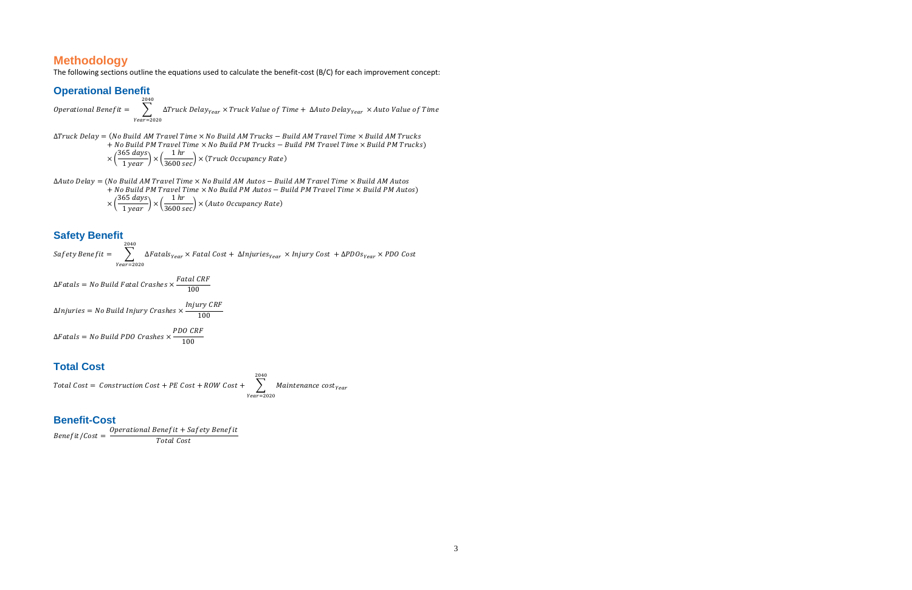### **Methodology**

The following sections outline the equations used to calculate the benefit-cost (B/C) for each improvement concept:

### **Operational Benefit**

Operational Bene $f$ it  $= \quad \bigtriangledown$   $\quad$   $\;$   $\Delta$ Truck Delay $_{Year} \times$  Truck Value of Time  $+$   $\Delta$ Auto Delay $_{Year} \times$  Auto Value of Time 2040  $Year = 2020$  $\Delta$ Truck Delay = (No Build AM Travel Time  $\times$  No Build AM Trucks – Build AM Travel Time  $\times$  Build AM Trucks  $+$  No Build PM Travel Time  $\times$  No Build PM Trucks – Build PM Travel Time  $\times$  Build PM Trucks)  $\times \left(\frac{365 \; days}{1 \; year}\right) \times \left(\frac{1 \; hr}{3600 \; sec}\right) \times (Truck \; Occupancy \; Rate)$ 

 $\Delta$ Auto Delay = (No Build AM Travel Time  $\times$  No Build AM Autos - Build AM Travel Time  $\times$  Build AM Autos  $+$  No Build PM Travel Time  $\times$  No Build PM Autos – Build PM Travel Time  $\times$  Build PM Autos)  $\times \left(\frac{365 \; days}{1 \; year}\right) \times \left(\frac{1 \; hr}{3600 \; sec}\right) \times (Auto \; Occupancy \; Rate)$ 

 $\Delta F$ atals = No Build Fatal Crashes  $\times \frac{F$ atal CRF 100

 $\Delta$ Injuries = No Build Injury Crashes  $\times \frac{Injury \, CRF}{400}$ 100

/ = + Total Cost

### **Safety Benefit**

Saf ety Benef it  $= \quad \bigtriangledown$   $\quad$   $\Delta$ Fatals $_{Year}$   $\times$  Fatal Cost  $+$   $\Delta$ Injuries $_{Year}$   $\times$  Injury Cost  $+$   $\Delta$ PDOs $_{Year}$   $\times$  PDO Cost 2040  $Year = 2020$ 

$$
\Delta F atlas = No \; Build \; PDO \; Crashes \times \frac{PDO \; CRF}{100}
$$

### **Total Cost**

Total Cost =  $\mathit{Construction}$  Cost + PE Cost + ROW Cost +  $\quad$   $\quad$   $\quad$  Maintenance  $\mathit{cost}_{\mathit{Year}}$ 2040  $Year = 2020$ 

### **Benefit-Cost**